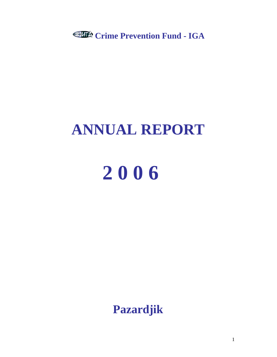**Crime Prevention Fund - IGA**

## **ANNUAL REPORT**

# **2 0 0 6**

**Pazardjik**

1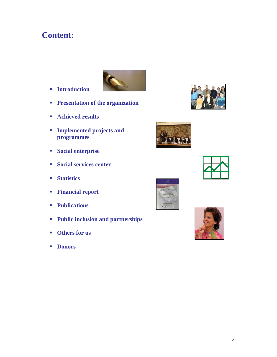## **Content:**



- **Introduction**
- **Presentation of the organization**
- **Achieved results**
- **Implemented projects and programmes**
- **Social enterprise**
- **Social services center**
- **Statistics**
- **Financial report**
- **Publications**
- **Public inclusion and partnerships**
- **Others for us**
- **Donors**









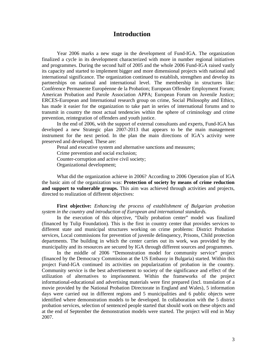### **Introduction**

Year 2006 marks a new stage in the development of Fund-IGA. The organization finalized a cycle in its development characterized with more in number regional initiatives and programmes. During the second half of 2005 and the whole 2006 Fund-IGA raised vastly its capacity and started to implement bigger and more dimensional projects with national and international significance. The organization continued to establish, strengthen and develop its partnerships on national and international level. The membership in structures like: Conférence Permanente Européenne de la Probation; European Offender Employment Forum; American Probation and Parole Association APPA; European Forum on Juvenile Justice; ERCES-European and International research group on crime, Social Philosophy and Ethics, has made it easier for the organization to take part in series of international forums and to transmit in country the most actual tendencies within the sphere of criminology and crime prevention, reintegration of offenders and youth justice.

In the end of 2006, with the support of external consultants and experts, Fund-IGA has developed a new Strategic plan 2007-2013 that appears to be the main management instrument for the next period. In the plan the main directions of IGA's activity were preserved and developed. These are:

Penal and executive system and alternative sanctions and measures; Crime prevention and social exclusion; Counter-corruption and active civil society; Organizational development;

What did the organization achieve in 2006? According to 2006 Operation plan of IGA the basic aim of the organization was: **Protection of society by means of crime reduction and support to vulnerable groups.** This aim was achieved through activities and projects, directed to realization of different objectives:

**First objective:** *Enhancing the process of establishment of Bulgarian probation system in the country and introduction of European and international standards.*

In the execution of this objective, "Daily probation center" model was finalized (financed by Tulip Foundation). This is the first in country center that provides services to different state and municipal structures working on crime problems: District Probation services, Local commissions for prevention of juvenile delinquency, Prisons, Child protection departments. The building in which the center carries out its work, was provided by the municipality and its resources are secured by IGA through different sources and programmes.

In the middle of 2006 "Demonstration model for community service" project (financed by the Democracy Commission at the US Embassy in Bulgaria) started. Within this project Fund-IGA continued its activities on popularization of probation in the country. Community service is the best advertisement to society of the significance and effect of the utilization of alternatives to imprisonment. Within the frameworks of the project informational-educational and advertising materials were first prepared (incl. translation of a movie provided by the National Probation Directorate in England and Wales), 5 information days were carried out in different regions and 5 municipalities and 6 public objects were identified where demonstration models to be developed. In collaboration with the 5 district probation services, selection of sentenced people started that should work on these objects and at the end of September the demonstration models were started. The project will end in May 2007.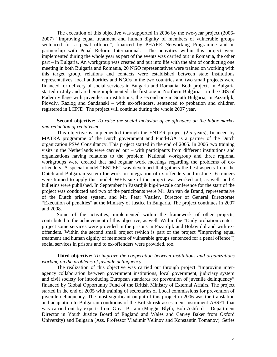The execution of this objective was supported in 2006 by the two-year project (2006- 2007) "Improving equal treatment and human dignity of members of vulnerable groups sentenced for a penal offence", financed by PHARE Networking Programme and in partnership with Penal Reform International. The activities within this project were implemented during the whole year as part of the events was carried out in Romania, the other part – in Bulgaria. An workgroup was created and put into life with the aim of conducting one meeting in both Bulgaria and Romania, 20 NGO representatives were trained on working with this target group, relations and contacts were established between state institutions representatives, local authorities and NGOs in the two countries and two small projects were financed for delivery of social services in Bulgaria and Romania. Both projects in Bulgaria started in July and are being implemented: the first one in Northern Bulgaria – in the CBS of Podem village with juveniles in institutions, the second one in South Bulgaria, in Pazardjik, Plovdiv, Razlog and Sandanski – with ex-offenders, sentenced to probation and children registered in LCPJD. The project will continue during the whole 2007 year.

#### **Second objective:** *To raise the social inclusion of ex-offenders on the labor market and reduction of recidivism*

This objective is implemented through the ENTER project (2,5 years), financed by MATRA programme of the Dutch government and Fund-IGA is a partner of the Dutch organization PSW Consultancy. This project started in the end of 2005. In 2006 two training visits in the Netherlands were carried out – with participants from different institutions and organizations having relations to the problem. National workgroup and three regional workgroups were created that had regular work meetings regarding the problems of exoffenders. A special model "ENTER" was developed that gathers the best aspects from the Dutch and Bulgarian system for work on integration of ex-offenders and in June 16 trainers were trained to apply this model. WEB site of the project was worked out, as well, and 4 bulletins were published. In September in Pazardjik big-in-scale conference for the start of the project was conducted and two of the participants were Mr. Jan van de Brand, representative of the Dutch prison system, and Mr. Petar Vasilev, Director of General Directorate "Execution of penalties" at the Ministry of Justice in Bulgaria. The project continues in 2007 and 2008.

Some of the activities, implemented within the framework of other projects, contributed to the achievement of this objective, as well. Within the "Daily probation center" project some services were provided in the prisons in Pazardjik and Bobov dol and with exoffenders. Within the second small project (which is part of the project "Improving equal treatment and human dignity of members of vulnerable groups sentenced for a penal offence") social services in prisons and to ex-offenders were provided, too.

#### **Third objective:** *To improve the cooperation between institutions and organizations working on the problems of juvenile delinquency*

The realization of this objective was carried out through project "Improving interagency collaboration between government institutions, local government, judiciary system and civil society for introducing European standards for prevention of juvenile delinquency" financed by Global Opportunity Fund of the British Ministry of External Affairs. The project started in the end of 2005 with training of secretaries of Local commissions for prevention of juvenile delinquency. The most significant output of this project in 2006 was the translation and adaptation to Bulgarian conditions of the British risk assessment instrument ASSET that was carried out by experts from Great Britain (Maggie Blyth, Bob Ashford – Department Director in Youth Justice Board of England and Wales and Carrey Baker from Oxford University) and Bulgaria (Ass. Professor Vladimir Velinov and Konstantin Tomanov). Series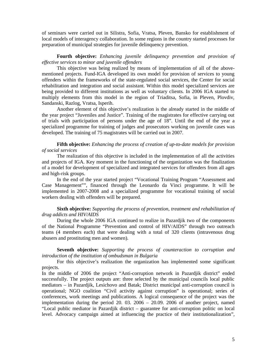of seminars were carried out in Silistra, Sofia, Vratsa, Pleven, Bansko for establishment of local models of interagency collaboration. In some regions in the country started processes for preparation of municipal strategies for juvenile delinquency prevention.

#### **Fourth objective:** *Enhancing juvenile delinquency prevention and provision of effective services to minor and juvenile offenders*

This objective was being realized by means of implementation of all of the abovementioned projects. Fund-IGA developed its own model for provision of services to young offenders within the frameworks of the state-regulated social services, the Center for social rehabilitation and integration and social assistant. Within this model specialized services are being provided to different institutions as well as voluntary clients. In 2006 IGA started to multiply elements from this model in the region of Triaditsa, Sofia, in Pleven, Plovdiv, Sandanski, Razlog, Vratsa, Isperih.

Another element of this objective's realization is the already started in the middle of the year project "Juveniles and Justice". Training of the magistrates for effective carrying out of trials with participation of persons under the age of 18". Until the end of the year a specialized programme for training of judges and prosecutors working on juvenile cases was developed. The training of 75 magistrates will be carried out in 2007.

#### **Fifth objective:** *Enhancing the process of creation of up-to-date models for provision of social services*

The realization of this objective is included in the implementation of all the activities and projects of IGA. Key moment in the functioning of the organization was the finalization of a model for development of specialized and integrated services for offenders from all ages and high-risk groups.

In the end of the year started project "Vocational Training Program "Assessment and Case Management"", financed through the Leonardo da Vinci programme. It will be implemented in 2007-2008 and a specialized programme for vocational training of social workers dealing with offenders will be prepared.

#### **Sixth objective:** *Supporting the process of prevention, treatment and rehabilitation of drug addicts and HIV/AIDS*

During the whole 2006 IGA continued to realize in Pazardjik two of the components of the National Programme "Prevention and control of HIV/AIDS" through two outreach teams (4 members each) that were dealing with a total of 320 clients (intravenous drug abusers and prostituting men and women).

#### **Seventh objective:** *Supporting the process of counteraction to corruption and introduction of the institution of ombudsman in Bulgaria*

For this objective's realization the organization has implemented some significant projects.

In the middle of 2006 the project "Anti-corruption network in Pazardjik district" ended successfully. The project outputs are: three selected by the municipal councils local public mediators – in Pazardjik, Lesichovo and Batak; District municipal anti-corruption council is operational; NGO coalition "Civil activity against corruption" is operational; series of conferences, work meetings and publications. A logical consequence of the project was the implementation during the period 20. 03. 2006 – 20.09. 2006 of another project, named "Local public mediator in Pazardjik district – guarantee for anti-corruption politic on local level. Advocacy campaign aimed at influencing the practice of their institutionalization",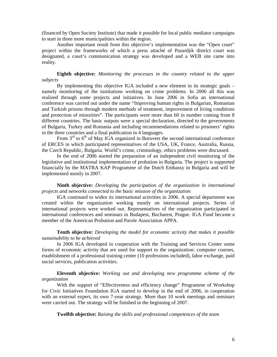(financed by Open Society Institute) that made it possible for local public mediator campaigns to start in three more municipalities within the region.

Another important result from this objective's implementation was the "Open court" project within the frameworks of which a press attaché of Pazardjik district court was designated, a court's communication strategy was developed and a WEB site came into reality.

#### **Eighth objective:** *Monitoring the processes in the country related to the upper subjects*

By implementing this objective IGA included a new element in its strategic goals – namely monitoring of the institutions working on crime problems. In 2006 all this was realized through some projects and initiatives. In June 2006 in Sofia an international conference was carried out under the name "Improving human rights in Bulgarian, Romanian and Turkish prisons through modern methods of treatment, improvement of living conditions and protection of minorities". The participants were more than 60 in number coming from 8 different countries. The basic outputs were a special declaration, directed to the governments of Bulgaria, Turkey and Romania and including recommendations related to prisoners' rights in the three countries and a final publication in 4 languages.

From  $3<sup>rd</sup>$  to  $6<sup>th</sup>$  of May IGA organized in Borovets the second international conference of ERCES in which participated representatives of the USA, UK, France, Australia, Russia, the Czech Republic, Bulgaria. World's crime, criminology, ethics problems were discussed.

In the end of 2006 started the preparation of an independent civil monitoring of the legislative and institutional implementation of probation in Bulgaria. The project is supported financially by the MATRA KAP Programme of the Dutch Embassy in Bulgaria and will be implemented mostly in 2007.

#### **Ninth objective:** *Developing the participation of the organization in international projects and networks connected to the basic mission of the organization*

IGA continued to widen its international activities in 2006. A special department was created within the organization working mostly on international projects. Series of international projects were worked out. Representatives of the organization participated in international conferences and seminars in Budapest, Bucharest, Prague. IGA Fund became a member of the American Probation and Parole Association APPA.

#### **Tenth objective:** *Developing the model for economic activity that makes it possible sustainability to be achieved*

In 2006 IGA developed in cooperation with the Training and Services Center some forms of economic activity that are used for support to the organization: computer courses, establishment of a professional training center (10 professions included), labor exchange, paid social services, publication activities.

#### **Eleventh objective:** *Working out and developing new programme scheme of the organization*

With the support of "Effectiveness and efficiency change" Programme of Workshop for Civic Initiatives Foundation IGA started to develop in the end of 2006, in cooperation with an external expert, its own 7-year strategy. More than 10 work meetings and seminars were carried out. The strategy will be finished in the beginning of 2007.

**Twelfth objective:** *Raising the skills and professional competences of the team*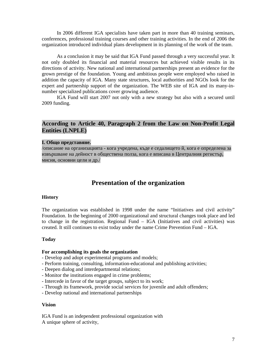In 2006 different IGA specialists have taken part in more than 40 training seminars, conferences, professional training courses and other training activities. In the end of 2006 the organization introduced individual plans development in its planning of the work of the team.

As a conclusion it may be said that IGA Fund passed through a very successful year. It not only doubled its financial and material resources but achieved visible results in its directions of activity. New national and international partnerships present an evidence for the grown prestige of the foundation. Young and ambitious people were employed who raised in addition the capacity of IGA. Many state structures, local authorities and NGOs look for the expert and partnership support of the organization. The WEB site of IGA and its many-innumber specialized publications cover growing audience.

IGA Fund will start 2007 not only with a new strategy but also with a secured until 2009 funding.

#### **According to Article 40, Paragraph 2 from the Law on Non-Profit Legal Entities (LNPLE)**

## **Presentation of the organization**

#### **History**

The organization was established in 1998 under the name "Initiatives and civil activity" Foundation. In the beginning of 2000 organizational and structural changes took place and led to change in the registration. Regional Fund – IGA (Initiatives and civil activities) was created. It still continues to exist today under the name Crime Prevention Fund – IGA.

#### **Today**

#### **For accomplishing its goals the organization**

- Develop and adopt experimental programs and models;
- Perform training, consulting, information-educational and publishing activities;
- Deepen dialog and interdepartmental relations;
- Monitor the institutions engaged in crime problems;
- Intercede in favor of the target groups, subject to its work;
- Through its framework, provide social services for juvenile and adult offenders;
- Develop national and international partnerships

#### **Vision**

IGA Fund is an independent professional organization with A unique sphere of activity,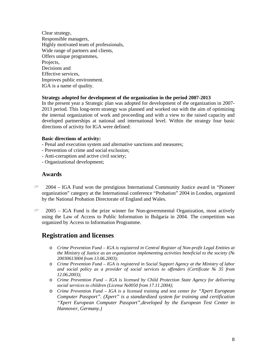Clear strategy, Responsible managers, Highly motivated team of professionals, Wide range of partners and clients, Offers unique programmes, Projects. Decisions and Effective services, Improves public environment. IGA is a name of quality.

#### **Strategy adopted for development of the organization in the period 2007-2013**

In the present year a Strategic plan was adopted for development of the organization in 2007- 2013 period. This long-term strategy was planned and worked out with the aim of optimizing the internal organization of work and proceeding and with a view to the raised capacity and developed partnerships at national and international level. Within the strategy four basic directions of activity for IGA were defined:

#### **Basic directions of activity:**

- Penal and execution system and alternative sanctions and measures;
- Prevention of crime and social exclusion;
- Anti-corruption and active civil society;
- Organizational development;

#### **Awards**

- $\degree$  2004 IGA Fund won the prestigious International Community Justice award in "Pioneer" organization" category at the International conference "Probation" 2004 in London, organized by the National Probation Directorate of England and Wales.
- $\degree$  2005 IGA Fund is the prize winner for Non-governmental Organization, most actively using the Law of Access to Public Information in Bulgaria in 2004. The competition was organized by Access to Information Programme.

## **Registration and licenses**

- o *Crime Prevention Fund – IGA is registered in Central Register of Non-profit Legal Entities at the Ministry of Justice as an organization implementing activities beneficial to the society (№ 20030613004 from 13.06.2003);*
- o *Crime Prevention Fund – IGA is registered in Social Support Agency at the Ministry of labor and social policy as a provider of social services to offenders (Certificate № 35 from 12.06.2003);*
- o *Crime Prevention Fund – IGA is licensed by Child Protection State Agency for delivering social services to children (License №0050 from 17.11.2004);*
- o *Crime Prevention Fund – IGA is a licensed training and test center for "Xpert European Computer Passport". (Xpert" is a standardized system for training and certification "Xpert European Computer Passport",developed by the European Test Center in Hannover, Germany.)*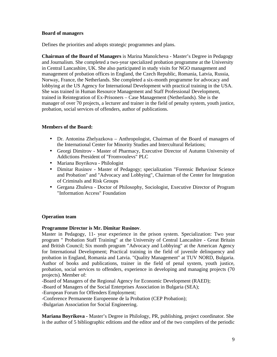#### **Board of managers**

Defines the priorities and adopts strategic programmes and plans.

**Chairman of the Board of Managers** is Marina Manolcheva - Master's Degree in Pedagogy and Journalism. She completed a two-year specialized probation programme at the University in Central Lancashire, UK. She also participated in study visits for NGO management and management of probation offices in England, the Czech Republic, Romania, Latvia, Russia, Norway, France, the Netherlands. She completed a six-month programme for advocacy and lobbying at the US Agency for International Development with practical training in the USA. She was trained in Human Resource Management and Staff Professional Development, trained in Reintegration of Ex-Prisoners – Case Management (Netherlands). She is the manager of over 70 projects, a lecturer and trainer in the field of penalty system, youth justice, probation, social services of offenders, author of publications.

#### **Members of the Board:**

- Dr. Antonina Zhelyazkova Anthropologist, Chairman of the Board of managers of the International Center for Minority Studies and Intercultural Relations;
- Georgi Dimitrov Master of Pharmacy, Executive Director of Autumn University of Addictions President of "Fromvoulevs" PLC
- Mariana Boyrikova Philologist
- Dimitar Rusinov Master of Pedagogy; specialization "Forensic Behaviour Science and Probation" and "Advocacy and Lobbying", Chairman of the Center for Integration of Criminals and Risk Groups
- Gergana Zhuleva Doctor of Philosophy, Sociologist, Executive Director of Program "Information Access" Foundation

#### **Operation team**

#### **Programme Director is Mr. Dimitar Rusinov**.

Master in Pedagogy, 11- year experience in the prison system. Specialization: Two year program " Probation Staff Training" at the University of Central Lancashire - Great Britain and British Council; Six month program "Advocacy and Lobbying" at the American Agency for International Development; Practical training in the field of juvenile delinquency and probation in England, Romania and Latvia. "Quality Management" at TUV NORD, Bulgaria. Author of books and publications, trainer in the field of penal system, youth justice, probation, social services to offenders, experience in developing and managing projects (70 projects). Member of:

-Board of Managers of the Regional Agency for Economic Development (RAED);

-Board of Managers of the Social Enterprises Association in Bulgaria (SEA);

-European Forum for Offenders Employment;

-Conference Permanente Europeenne de la Probation (CEP Probation);

-Bulgarian Association for Social Engineering.

**Mariana Boyrikova -** Master's Degree in Philology, PR, publishing, project coordinator. She is the author of 5 bibliographic editions and the editor and of the two compilers of the periodic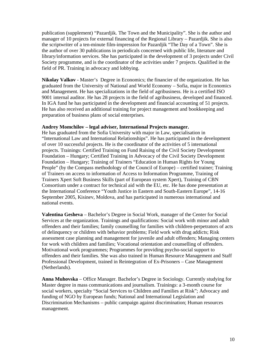publication (supplement) "Pazardjik. The Town and the Municipality". She is the author and manager of 10 projects for external financing of the Regional Library – Pazardjik. She is also the scriptwriter of a ten-minute film-impression for Pazardjik "The Day of a Town". She is the author of over 30 publications in periodicals concerned with public life, literature and library/information services. She has participated in the development of 3 projects under Civil Society programme, and is the coordinator of the activities under 7 projects. Qualified in the field of PR. Training in advocacy and lobbying.

**Nikolay Valkov** - Master's Degree in Economics; the financier of the organization. He has graduated from the University of National and World Economy – Sofia, major in Economics and Management. He has specializations in the field of agribusiness. He is a certified ISO 9001 internal auditor. He has 28 projects in the field of agribusiness, developed and financed. In IGA fund he has participated in the development and financial accounting of 51 projects. He has also received an additional training for project management and bookkeeping and preparation of business plans of social enterprises.

#### **Andrey Momchilov – legal adviser, International Projects manager.**

He has graduated from the Sofia University with major in Law, specialisation in "International Law and International Relationships". He has participated in the development of over 10 successful projects. He is the coordinator of the activities of 5 international projects. Trainings: Certified Training on Fund Raising of the Civil Society Development Foundation – Hungary; Certified Training in Advocacy of the Civil Society Development Foundation – Hungary; Training of Trainers "Education in Human Rights for Young People" (by the Compass methodology of the Council of Europe) – certified trainer; Training of Trainers on access to information of Access to Information Programme, Training of Trainers Xpert Soft Business Skills (part of European system Xpert), Training of CBN Consortium under a contract for technical aid with the EU, etc. He has done presentation at the International Conference "Youth Justice in Eastern and South-Eastern Europe", 14-16 September 2005, Kisinev, Moldova, and has participated in numerous international and national events.

**Valentina Gesheva** – Bachelor's Degree in Social Work, manager of the Center for Social Services at the organization. Trainings and qualifications: Social work with minor and adult offenders and their families; family counselling for families with children-perpetrators of acts of delinquency or children with behavior problems; Field work with drug addicts; Risk assessment case planning and management for juvenile and adult offenders; Managing centers for work with children and families; Vocational orientation and counselling of offenders. Motivational work programmes; Programmes for providing psycho-social support to offenders and their families. She was also trained in Human Resource Management and Staff Professional Development, trained in Reintegration of Ex-Prisoners – Case Management (Netherlands).

**Anna Muhovska** – Office Manager. Bachelor's Degree in Sociology. Currently studying for Master degree in mass communications and journalism. Trainings: a 3-month course for social workers, specialty "Social Services to Children and Families at Risk"; Advocacy and funding of NGO by European funds; National and International Legislation and Discrimination Mechanisms – public campaign against discrimination; Human resources management.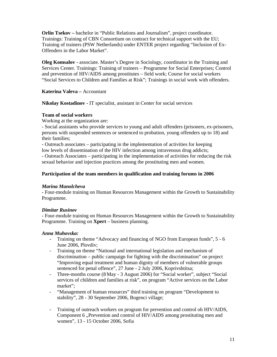**Orlin Tsekov** – bachelor in "Public Relations and Journalism", project coordinator. Trainings: Training of CBN Consortium on contract for technical support with the EU; Training of trainers (PSW Netherlands) under ENTER project regarding "Inclusion of Ex-Offenders in the Labor Market".

**Oleg Komsalov -** associate. Master's Degree in Sociology, coordinator in the Training and Services Center. Trainings: Training of trainers – Programme for Social Enterprises; Control and prevention of HIV/AIDS among prostitutes – field work; Course for social workers "Social Services to Children and Families at Risk"; Trainings in social work with offenders.

**Katerina Valeva –** Accountant

**Nikolay Kostadinov -** IT specialist, assistant in Center for social services

#### **Team of social workers**

Working at the organization are:

- Social assistants who provide services to young and adult offenders (prisoners, ex-prisoners, persons with suspended sentences or sentenced to probation, young offenders up to 18) and their families;

- Outreach associates – participating in the implementation of activities for keeping low levels of dissemination of the HIV infection among intravenous drug addicts;

- Outreach Associates – participating in the implementation of activities for reducing the risk sexual behavior and injection practices among the prostituting men and women.

#### **Participation of the team members in qualification and training forums in 2006**

#### *Marina Manolcheva*

- Four-module training on Human Resources Management within the Growth to Sustainability Programme.

#### *Dimitar Rusinov*

- Four-module training on Human Resources Management within the Growth to Sustainability Programme. Training on **Xpert** – business planning.

#### *Anna Muhovska:*

- Training on theme "Advocacy and financing of NGO from European funds", 5 6 June 2006, Plovdiv;
- Training on theme "National and international legislation and mechanism of discrimination – public campaign for fighting with the discrimination" on project "Improving equal treatment and human dignity of members of vulnerable groups sentenced for penal offence", 27 June - 2 July 2006, Koprivshtitsa;
- Three-months course (8 May 3 August 2006) for "Social worker", subject "Social services of children and families at risk", on program "Active services on the Labor market";
- "Management of human resources" third training on program "Development to stability", 28 - 30 September 2006, Bogenci village;
- Training of outreach workers on program for prevention and control oh HIV/AIDS, Component 6 , Prevention and control of HIV/AIDS among prostituting men and women", 13 - 15 October 2006, Sofia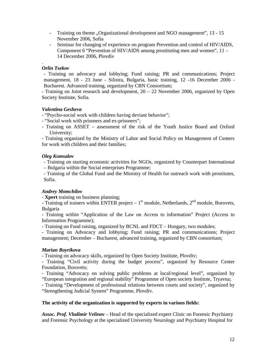- Training on theme "Organizational development and NGO management", 13 15 November 2006, Sofia
- Seminar for changing of experience on program Prevention and control of HIV/AIDS, Component 6 "Prevention of HIV/AIDS among prostituting men and women",  $11 -$ 14 December 2006, Plovdiv

#### . *Orlin Tsekov*

- Training on advocacy and lobbying; Fund raising; PR and communications; Project management, 18 - 23 June - Silistra, Bulgaria, basic training, 12 -16 December 2006 - Bucharest. Advanced training, organized by CBN Consortium;

- Training on Joint research and development,  $20 - 22$  November 2006, organized by Open Society Institute, Sofia.

#### *Valentina Gesheva*

- "Psycho-social work with children having deviant behavior";

- "Social work with prisoners and ex-prisoners";
- Training on ASSET assessment of the risk of the Youth Justice Board and Oxford University;

- Training organized by the Ministry of Labor and Social Policy on Management of Centers for work with children and their families;

#### *Oleg Komsalov*

- Training on starting economic activities for NGOs, organized by Counterpart International

– Bulgaria within the Social enterprises Programme;

- Training of the Global Fund and the Ministry of Health for outreach work with prostitutes, Sofia.

#### *Andrey Momchilov*

- **Xpert** training on business planning;

- Training of trainers within ENTER project –  $1<sup>st</sup>$  module, Netherlands,  $2<sup>nd</sup>$  module, Borovets, Bulgaria

- Training within "Application of the Law on Access to information" Project (Access to Information Programme);

- Training on Fund raising, organized by BCNL and FDCT – Hungary, two modules;

- Training on Advocacy and lobbying; Fund raising; PR and communications; Project management; December – Bucharest, advanced training, organized by CBN consortium;

#### *Marian Boyrikova*

- Training on advocacy skills, organized by Open Society Institute, Plovdiv;

- Training "Civil activity during the budget process", organized by Resource Center Foundation, Borovets;

- Training "Advocacy on solving public problems at local/regional level", organized by "European integration and regional stability" Programme of Open society Institute, Tryavna;

- Training "Development of professional relations between courts and society", organized by "Strengthening Judicial System" Programme, Plovdiv.

#### **The activity of the organization is supported by experts in various fields:**

*Assoc. Prof. Vladimir Velinov* – Head of the specialized expert Clinic on Forensic Psychiatry and Forensic Psychology at the specialized University Neurology and Psychiatry Hospital for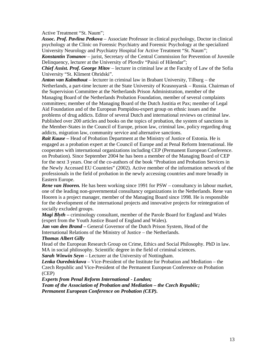#### Active Treatment "St. Naum"

*Assoc. Prof. Pavlina Petkova* – Associate Professor in clinical psychology, Doctor in clinical psychology at the Clinic on Forensic Psychiatry and Forensic Psychology at the specialized University Neurology and Psychiatry Hospital for Active Treatment "St. Naum"

*Konstantin Tomanov* – jurist, Secretary of the Central Commission for Prevention of Juvenile Delinquency, lecturer at the University of Plovdiv "Paisii of Hilendar";

*Chief Assist. Prof. George Mitov* – lecturer in criminal law at the Faculty of Law of the Sofia University "St. Kliment Ohridski".

*Anton van Kalmthout* – lecturer in criminal law in Brabant University, Tilburg – the Netherlands, a part-time lecturer at the State University of Krasnoyarsk – Russia. Chairman of the Supervision Committee at the Netherlands Prison Administration, member of the Managing Board of the Netherlands Probation Foundation, member of several complaints committees; member of the Managing Board of the Dutch Justitia et Pax; member of Legal Aid Foundation and of the European Pompidou-expert group on ethnic issues and the problems of drug addicts. Editor of several Dutch and international reviews on criminal law. Published over 200 articles and books on the topics of probation, the system of sanctions in the Member-States in the Council of Europe, prison law, criminal law, policy regarding drug addicts, migration law, community service and alternative sanctions.

*Rait Kuuse –* Head of Probation Department at the Ministry of Justice of Estonia. He is engaged as a probation expert at the Council of Europe and at Penal Reform International. He cooperates with international organizations including CEP (Permanent European Conference. on Probation). Since September 2004 he has been a member of the Managing Board of CEP for the next 3 years. One of the co-authors of the book "Probation and Probation Services in the Newly Accessed EU Countries" (2002). Active member of the information network of the professionals in the field of probation in the newly accessing countries and more broadly in Eastern Europe.

*Rene van Hooren.* He has been working since 1991 for PSW – consultancy in labour market, one of the leading non-governmental consultancy organizations in the Netherlands. Rene van Hooren is a project manager, member of the Managing Board since 1998. He is responsible for the development of the international projects and innovative projects for reintegration of socially excluded groups.

*Magi Blyth –* criminology consultant, member of the Parole Board for England and Wales (expert from the Youth Justice Board of England and Wales).

*Jan van den Brand* – General Governor of the Dutch Prison System, Head of the International Relations of the Ministry of Justice – the Netherlands.

#### *Thomas Albert Gilly*

Head of the European Research Group on Crime, Ethics and Social Philosophy. PhD in law. MA in social philosophy. Scientific degree in the field of criminal sciences.

*Sarah Winwin Seyn* – Lecturer at the University of Nottingham.

*Lenka Ourednickova* – Vice-President of the Institute for Probation and Mediation – the Czech Republic and Vice-President of the Permanent European Conference on Probation (CEP)

*Experts from Penal Reform International - London;*

*Team of the Association of Probation and Mediation – the Czech Republic; Permanent European Conference on Probation (CEP).*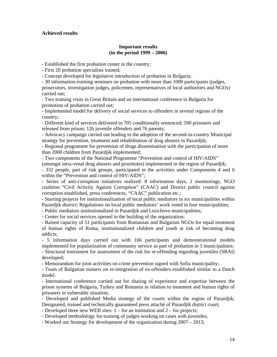#### **Achieved results**

#### **Important results (in the period 1999 – 2006)**

- Established the first probation center in the country;

- First 20 probation specialists trained;

- Concept developed for legislative introduction of probation in Bulgaria;

- 30 information-training seminars on probation with more than 1000 participants (judges, prosecutors, investigation judges, policemen, representatives of local authorities and NGOs) carried out;

- Two training visits in Great Britain and an international conference in Bulgaria for promotion of probation carried out;

- Implemented model for delivery of social services to offenders in several regions of the country;

- Different kind of services delivered to 705 conditionally sentenced; 590 prisoners and released from prison; 126 juvenile offenders and 76 parents;

- Advocacy campaign carried out leading to the adoption of the second-in-country Municipal strategy for prevention, treatment and rehabilitation of drug abusers in Pazardjik;

- Regional programme for prevention of drugs dissemination with the participation of more than 2000 children from Pazardjik implemented;

- Two components of the National Programme "Prevention and control of HIV/AIDS"

(amongst intra-venal drug abusers and prostitutes) implemented in the region of Pazardjik; - 332 people, part of risk groups, participated in the activities under Components 4 and 6

within the "Prevention and control of HIV/AIDS";

- Series of anti-corruption initiatives realized: 8 information days, 2 monitorings, NGO coalition "Civil Activity Against Corruption" (CAAC) and District public council against corruption established, press conferences, "CAAC" publication etc.;

- Starting projects for institutionalization of local public mediators in six municipalities within Pazardjik district; Regulations on local public mediators' work voted in four municipalities;

- Public mediators institutionalized in Pazardjik and Lesichovo municipalities;

- Center for social services opened in the building of the organization;

- Raised capacity of 51 participants from Romanian and Bulgarian NGOs for equal treatment of human rights of Roma, institutionalized children and youth at risk of becoming drug addicts;

- 5 information days carried out with 166 participants and demonstrational models implemented for popularization of community service as part of probation in 5 municipalities; - Structural instrument for assessment of the risk for re-offending regarding juveniles (SRAI) developed;

- Memorandum for joint activities on crime prevention signed with Sofia municipality;

- Team of Bulgarian trainers on re-integration of ex-offenders established similar to a Dutch model.

- International conference carried out for sharing of experience and expertise between the prison systems of Bulgaria, Turkey and Romania in relation to treatment and human rights of prisoners in vulnerable situation;

- Developed and published Media strategy of the courts within the region of Pazardjik; Designated, trained and technically guaranteed press attaché of Pazardjik district court;

- Developed three new WEB sites: 1 – for an institution and 2 – for projects;

- Developed methodology for training of judges working on cases with juveniles;

- Worked out Strategy for development of the organization during 2007 – 2013;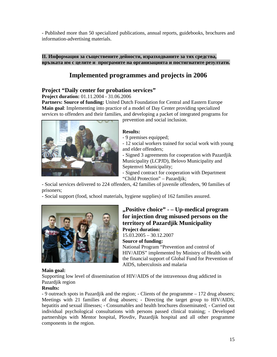- Published more than 50 specialized publications, annual reports, guidebooks, brochures and information-advertising materials.

## **Implemented programmes and projects in 2006**

**ІІ. Информация за съществените дейности, изразходваните за тях средства, връзката им с целите и програмите на организацията и постигнатите резултати.**

#### **Project "Daily center for probation services"**

**Project duration:** 01.11.2004 - 31.06.2006

**Partners: Source of funding:** United Dutch Foundation for Central and Eastern Europe **Main goal**: Implementing into practice of a model of Day Center providing specialized services to offenders and their families, and developing a packet of integrated programs for prevention and social inclusion.



#### **Results:**

- 9 premises equipped;

- 12 social workers trained for social work with young and elder offenders;

- Signed 3 agreements for cooperation with Pazardjik Municipality (LCPJD), Belovo Municipality and Septemvri Municipality;

- Signed contract for cooperation with Department "Child Protection" – Pazardjik;

- Social services delivered to 224 offenders, 42 families of juvenile offenders, 90 families of prisoners;

- Social support (food, school materials, hygiene supplies) of 162 families assured.



#### **"Positive choice" - – Up-medical program for injection drug misused persons on the territory of Pazardjik Municipality Project duration:**

15.03.2005 – 30.12.2007 **Source of funding:**

National Program "Prevention and control of HIV/AIDS" implemented by Ministry of Health with the financial support of Global Fund for Prevention of AIDS, tuberculosis and malaria

#### **Main goal:**

Supporting low level of dissemination of HIV/AIDS of the intravenous drug addicted in Pazardjik region

#### **Results:**

- 9 outreach spots in Pazardjik and the region; - Clients of the programme – 172 drug abusers; Meetings with 21 families of drug abusers; - Directing the target group to HIV/AIDS, hepatitis and sexual illnesses; - Consumables and health brochures disseminated; - Carried out individual psychological consultations with persons passed clinical training; - Developed partnerships with Mentor hospital, Plovdiv, Pazardjik hospital and all other programme components in the region.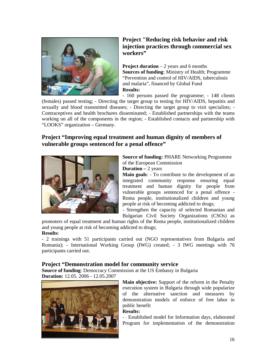

## **Project "Reducing risk behavior and risk injection practices through commercial sex workers"**

**Project duration** – 2 years and 6 months **Sources of funding**: Ministry of Health; Programme "Prevention and control of HIV/AIDS, tuberculosis and malaria", financed by Global Fund **Results:**

- 160 persons passed the programme; - 148 clients (females) passed testing; - Directing the target group to testing for HIV/AIDS, hepatitis and sexually and blood transmitted diseases; - Directing the target group to visit specialists; - Contraceptives and health brochures disseminated; - Established partnerships with the teams working on all of the components in the region; - Established contacts and partnership with

"LOOKS" organization – Germany.

## **Project "Improving equal treatment and human dignity of members of vulnerable groups sentenced for a penal offence"**



**Source of funding:** PHARE Networking Programme of the European Commission

**Duration –** 2 years

**Main goals**: - To contribute to the development of an integrated community response ensuring equal treatment and human dignity for people from vulnerable groups sentenced for a penal offence - Roma people, institutionalized children and young people at risk of becoming addicted to drugs;

- Strengthen the capacity of selected Romanian and Bulgarian Civil Society Organizations (CSOs) as

promoters of equal treatment and human rights of the Roma people, institutionalized children and young people at risk of becoming addicted to drugs; **Results**:

- 2 trainings with 51 participants carried out (NGO representatives from Bulgaria and Romania); - International Working Group (IWG) created; - 3 IWG meetings with 76 participants carried out.

## **Project "Demonstration model for community service**

**Source of funding**: Democracy Commission at the US Embassy in Bulgaria **Duration:** 12.05. 2006 - 12.05.2007



**Main objective:** Support of the reform in the Penalty execution system in Bulgaria through wide popularize of the alternative sanction and measures by demonstration models of enforce of free labor in public benefit

**Results:**

- - Established model for Information days, elaborated Program for implementation of the demonstration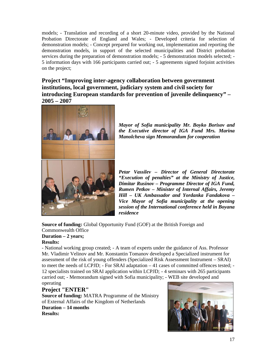models; - Translation and recording of a short 20-minute video, provided by the National Probation Directorate of England and Wales; - Developed criteria for selection of demonstration models; - Concept prepared for working out, implementation and reporting the demonstration models, in support of the selected municipalities and District probation services during the preparation of demonstration models; - 5 demonstration models selected; - 5 information days with 166 participants carried out; - 5 agreements signed forjoint activities on the project;

**Project "Improving inter-agency collaboration between government institutions, local government, judiciary system and civil society for introducing European standards for prevention of juvenile delinquency" – 2005 – 2007**



*Mayor of Sofia municipality Mr. Boyko Borisov and the Executive director of IGA Fund Mrs. Marina Manolcheva sign Memorandum for cooperation*

*Petar Vassilev – Director of General Directorate "Execution of penalties" at the Ministry of Justice, Dimitar Rusinov – Programme Director of IGA Fund, Rumen Petkov – Minister of Internal Affairs, Jeremy Hill – UK Ambassador and Yordanka Fandakova – Vice Mayor of Sofia municipality at the opening session of the International conference held in Boyana residence*

**Source of funding:** Global Opportunity Fund (GOF) at the British Foreign and Commonwealth Office

#### **Duration – 2 years;**

#### **Results:**

- National working group created; - A team of experts under the guidance of Ass. Professor Mr. Vladimir Velinov and Mr. Konstantin Tomanov developed a Specialized instrument for assessment of the risk of young offenders (Specialized Risk Assessment Instrument – SRAI) to meet the needs of LCPJD; - For SRAI adaptation – 41 cases of committed offences tested; - 12 specialists trained on SRAI application within LCPJD; - 4 seminars with 265 participants carried out; - Memorandum signed with Sofia municipality; - WEB site developed and operating

### **Project "ENTER"**

**Source of funding:** MATRA Programme of the Ministry of External Affairs of the Kingdom of Netherlands **Duration – 14 months Results:**

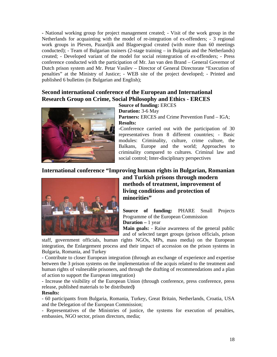**-** National working group for project management created; - Visit of the work group in the Netherlands for acquainting with the model of re-integration of ex-offenders; - 3 regional work groups in Pleven, Pazardjik and Blagoevgrad created (with more than 60 meetings conducted); - Team of Bulgarian trainers (2-stage training – in Bulgaria and the Netherlands) created; - Developed variant of the model for social reintegration of ex-offenders; - Press conference conducted with the participation of Mr. Jan van den Brand – General Governor of Dutch prison system and Mr. Petar Vasilev – Director of General Directorate "Execution of penalties" at the Ministry of Justice; - WEB site of the project developed; - Printed and published 6 bulletins (in Bulgarian and English);

## **Second international conference of the European and International Research Group on Crime, Social Philosophy and Ethics - ERCES**



**Source of funding:** ERCES **Duration:** 3-6 May **Partners:** ERCES and Crime Prevention Fund – IGA; **Results:**

**-**Conference carried out with the participation of 30 representatives from 8 different countries; - Basic modules: Criminality, culture, crime culture, the Balkans, Europe and the world; Approaches to criminality compared to cultures. Criminal law and social control; Inter-disciplinary perspectives

## **International conference "Improving human rights in Bulgarian, Romanian**



**and Turkish prisons through modern methods of treatment, improvement of living conditions and protection of minorities"**

**Source of funding:** PHARE Small Projects Programme of the European Commission **Duration –** 1 year

**Main goals:** - Raise awareness of the general public and of selected target groups (prison officials, prison

staff, government officials, human rights NGOs, MPs, mass media) on the European integration, the Enlargement process and their impact of accession on the prison systems in Bulgaria, Romania, and Turkey

- Contribute to closer European integration (through an exchange of experience and expertise between the 3 prison systems on the implementation of the acquis related to the treatment and human rights of vulnerable prisoners, and through the drafting of recommendations and a plan of action to support the European integration)

- Increase the visibility of the European Union (through conference, press conference, press release, published materials to be distributed**)**

#### **Results:**

- 60 participants from Bulgaria, Romania, Turkey, Great Britain, Netherlands, Croatia, USA and the Delegation of the European Commission;

- Representatives of the Ministries of justice, the systems for execution of penalties, embassies, NGO sector, prison directors, media;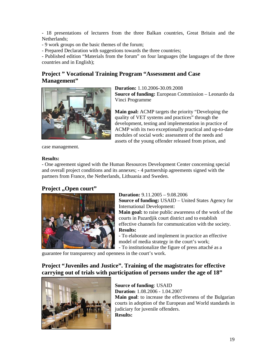- 18 presentations of lecturers from the three Balkan countries, Great Britain and the Netherlands;

- 9 work groups on the basic themes of the forum;

- Prepared Declaration with suggestions towards the three countries;

- Published edition "Materials from the forum" on four languages (the languages of the three countries and in English);

## **Project " Vocational Training Program "Assessment and Case Management"**



**Duration:** 1.10.2006-30.09.2008 **Source of funding:** European Commission – Leonardo da Vinci Programme

**Main goal:** targets the priority "Developing the quality of VET systems and practices" through the development, testing and implementation in practice of ACMP with its two exceptionally practical and up-to-date modules of social work: assessment of the needs and assets of the young offender released from prison, and

case management.

#### **Results:**

- One agreement signed with the Human Resources Development Center concerning special and overall project conditions and its annexes; - 4 partnership agreements signed with the partners from France, the Netherlands, Lithuania and Sweden.

## **Project** ... pen court"



**Duration:** 9.11.2005 – 9.08.2006 **Source of funding:** USAID – United States Agency for International Development: **Main goal:** to raise public awareness of the work of the courts in Pazardjik court district and to establish effective channels for communication with the society. **Results:**

- To elaborate and implement in practice an effective model of media strategy in the court's work;

- To institutionalize the figure of press attaché as a

guarantee for transparency and openness in the court's work.

## **Project "Juveniles and Justice". Training of the magistrates for effective carrying out of trials with participation of persons under the age of 18"**



**Source of funding**: USAID **Duration**: 1.08.2006 - 1.04.2007 **Main goal**: to increase the effectiveness of the Bulgarian courts in adoption of the European and World standards in judiciary for juvenile offenders. **Results:**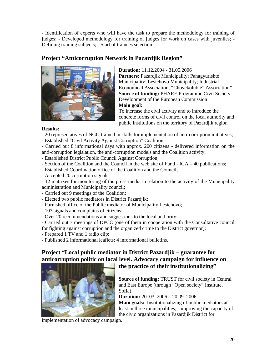- Identification of experts who will have the task to prepare the methodology for training of judges; - Developed methodology for training of judges for work on cases with juveniles; - Defining training subjects; - Start of trainees selection.

## **Project "Anticorruption Network in Pazardjik Region"**



**Duration:** 11.12.2004 - 31.05.2006 **Partners:** Pazardjik Municipality; Panagyurishte Municipality; Lesichovo Municipality; Industrial Economical Association; "Chovekolubie" Association" **Source of funding:** PHARE Programme Civil Society Development of the European Commission **Main goal:**

To increase the civil activity and to introduce the concrete forms of civil control on the local authority and public institutions on the territory of Pazardjik region

#### **Results:**

- 20 representatives of NGO trained in skills for implementation of anti-corruption initiatives;
- Established "Civil Activity Against Corruption" Coalition;

- Carried out 8 informational days with approx. 200 citizens - delivered information on the anti-corruption legislation, the anti-corruption models and the Coalition activity;

- Established District Public Council Against Corruption;
- Section of the Coalition and the Council in the web site of Fund IGA 40 publications;
- Established Coordination office of the Coalition and the Council;
- Accepted 20 corruption signals;

- 12 matrixes for monitoring of the press-media in relation to the activity of the Municipality administration and Municipality council;

- Carried out 9 meetings of the Coalition;
- Elected two public mediators in District Pazardjik;
- Furnished office of the Public mediator of Municipality Lesichovo;
- 103 signals and complains of citizens;
- Over 20 recommendations and suggestions to the local authority;

- Carried out 7 meetings of DPCC (one of them in cooperation with the Consultative council for fighting against corruption and the organized crime to the District governor);

- Prepared 1 TV and 1 radio clip;

- Published 2 informational leaflets; 4 informational bulletins.

## **Project "Local public mediator in District Pazardjik – guarantee for anticorruption politic on local level. Advocacy campaign for influence on**



## **the practice of their institutionalizing"**

**Source of funding:** TRUST for civil society in Central and East Europe (through "Open society" Institute, Sofia)

**Duration:** 20. 03. 2006 – 20.09. 2006

**Main goals:** Institutionalizing of public mediators at least in three municipalities; - improving the capacity of the civic organizations in Pazardjik District for

implementation of advocacy campaign.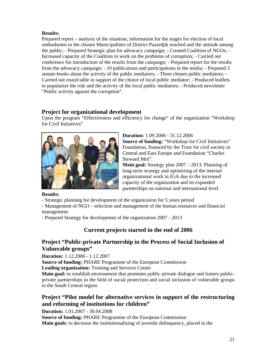#### **Results:**

Prepared report – analysis of the situation, information for the stages for election of local ombudsmen in the chosen Municipalities of District Pazardjik reached and the attitude among the public; - Prepared Strategic plan for advocacy campaign; - Created Coalition of NGOs; - Increased capacity of the Coalition to work on the problems of corruption; - Carried out conference for introduction of the results from the campaign; - Prepared report for the results from the advocacy campaign; - 10 publications and participations in the media; - Prepared 3 statute-books about the activity of the public mediators; - Three chosen public mediators; - Carried out round table in support of the choice of local public mediator; - Produced leaflets to popularize the role and the activity of the local public mediators; - Produced newsletter "Public activity against the corruption".

### **Project for organizational development**

Upon the program "Effectiveness and efficiency for change" of the organization "Workshop for Civil Initiatives"



**Duration:** 1.09.2006 - 31.12.2006 **Source of funding:** "Workshop for Civil Initiatives" Foundation, financed by the Trust for civil society in Central and East Europe and Foundation "Charles Steward Mot".

**Main goal:** Strategy plan 2007 – 2013. Planning of long-term strategy and optimizing of the internal organizational work in IGA due to the increased capacity of the organization and its expanded partnerships on national and international level.

#### **Results:**

- Strategic planning for development of the organization for 5 years period

- Management of NGO – selection and management of the human resources and financial management.

- Prepared Strategy for development of the organization 2007 - 2013

## **Current projects started in the end of 2006**

## **Project "Public-private Partnership in the Process of Social Inclusion of Vulnerable groups"**

**Duration:** 1.12.2006 - 1.12.2007

**Source of funding:** PHARE Programme of the European Commission **Leading organization:** Training and Services Center

**Main goal:** to establish environment that promotes public-private dialogue and fosters publicprivate partnerships in the field of social protection and social inclusion of vulnerable groups in the South Central region.

## **Project "Pilot model for alternative services in support of the restructuring and reforming of institutions for children"**

**Duration:** 1.01.2007 - 30.04.2008

**Source of funding:** PHARE Programme of the European Commission **Main goals**: to decrease the institutionalizing of juvenile delinquency, placed in the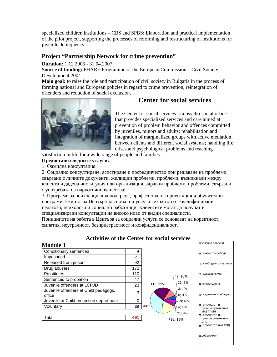specialized children institutions – CBS and SPBS; Elaboration and practical implementation of the pilot project, supporting the processes of reforming and restructuring of institutions for juvenile delinquency.

#### **Project "Partnership Network for crime prevention"**

**Duration:** 1.12.2006 - 31.04.2007

**Source of funding:** PHARE Programme of the European Commission – Civil Society Development 2004

**Main goal:** to raise the role and participation of civil society in Bulgaria in the process of forming national and European policies in regard to crime prevention, reintegration of offenders and reduction of social exclusion.



**Предоставя следните услуги:**

с употребата на наркотични вещества;<br>Селото и наркотични вещества;<br>Селото и наркотични вещества;

## **Center for social services**

The Center for social services is a psycho-social office that provides specialized services and care aimed at prevention of problem behavior and offences committed by juveniles, minors and adults; rehabilitation and integration of marginalized groups with active mediation between clients and different social systems; handling life crises and psychological problems and reaching

22

 $\blacksquare$ 

satisfaction in life for a wide range of people and families.

1.  $\blacksquare$ 

2. Социално консултиране и последнице при решаване и при решаване на при решаване на при решаване на при решав

 $3.$ 

## **Activities of the Center for social services**

свързани с личните документи, жилищни проблеми, проблеми, възникнали между клиента и дадена и дадена и дадена и дадена и дадена и дадена и доказация, проблеми, проблеми, проблеми, свърз<br>В проблеми проблеми, проблеми, проблеми, проблеми, проблеми, проблеми, проблеми, проблеми, проблеми, проблеми,

программи, Екипът на Центъра за социални услуги се състои от квалифицирани услуги се състои от квалифицирани<br>В социални услуги се състои от квалифицирание от квалифицирание от квалифицирание от квалифицирание от квалифи педагози, психолози и социални работници. Клиентите могат да получат и специализирани консултации на високо ниво от видни специалисти.

Принципите на работа в Центъра за социални услуги се основават на коректност,

емпатия, неутралност, безпристрастност и конфиденциалност.

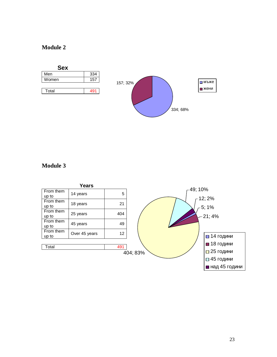



## **Module 3**

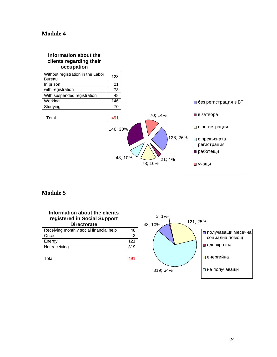#### **Information about the clients regarding their occupation**



## **Module 5**

| Information about the clients<br>registered in Social Support<br><b>Directorate</b> |     |
|-------------------------------------------------------------------------------------|-----|
| Receiving monthly social financial help                                             | 48  |
| Once                                                                                | 3   |
| Energy                                                                              | 121 |

| Total<br>ື |  |
|------------|--|

Not receiving 319

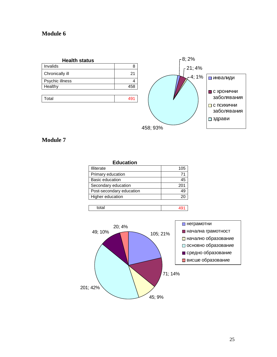



## **Module 7**

| <b>Education</b>         |     |
|--------------------------|-----|
| Illiterate               | 105 |
| Primary education        | 71  |
| Basic education          | 45  |
| Secondary education      | 201 |
| Post-secondary education | 49  |
| Higher education         | 20  |
|                          |     |



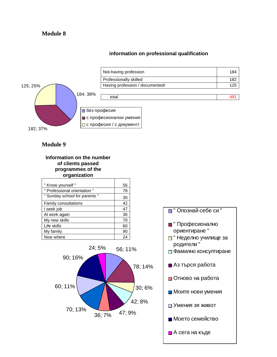#### **information on professional qualification**



## Not-having profession 184 Professionally skilled 182 Having profession / documented/ 125 total and the contract of the contract of the contract of the contract of the contract of the contract of the c

## **Module 9**



| " Know yourself "             | 56 |
|-------------------------------|----|
| " Professional orientation "  | 78 |
| " Sunday school for parents " | 30 |
| Family consultations          | 42 |
| I seek job                    | 47 |
| At work again                 | 36 |
| My new skills                 | 70 |
| Life skills                   | 60 |
| My family                     | 90 |
| Now where                     | 24 |



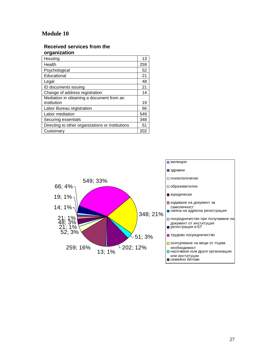#### **Received services from the organization**

| Housing                                          | 13  |
|--------------------------------------------------|-----|
| Health                                           | 259 |
| Psychological                                    | 52  |
| Educational                                      | 21  |
| Legal                                            | 48  |
| ID documents issuing                             | 21  |
| Change of address registration                   | 14  |
| Mediation in obtaining a document from an        |     |
| institution                                      | 19  |
| Labor Bureau registration                        | 66  |
| Labor mediation                                  | 549 |
| Securing essentials                              | 348 |
| Directing to other organizations or institutions | 51  |
| Customary                                        | 202 |

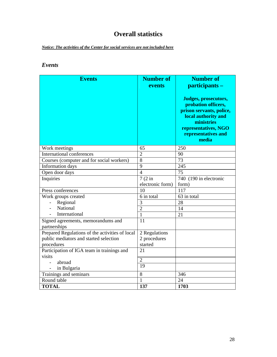## **Overall statistics**

*Notice: The activities of the Center for social services are not included here*

## *Events*

| <b>Events</b>                                      | <b>Number of</b><br>events | <b>Number of</b><br>participants -<br>Judges, prosecutors,<br>probation officers,<br>prison servants, police,<br>local authority and<br>ministries<br>representatives, NGO<br>representatives and<br>media |
|----------------------------------------------------|----------------------------|------------------------------------------------------------------------------------------------------------------------------------------------------------------------------------------------------------|
| Work meetings                                      | 65                         | 250                                                                                                                                                                                                        |
| <b>International conferences</b>                   | $\overline{2}$             | 90                                                                                                                                                                                                         |
| Courses (computer and for social workers)          | $\overline{8}$             | 73                                                                                                                                                                                                         |
| Information days                                   | 9<br>$\overline{4}$        | 245                                                                                                                                                                                                        |
| Open door days                                     |                            | 75                                                                                                                                                                                                         |
| Inquiries                                          | $7(2)$ in                  | 740 (190 in electronic                                                                                                                                                                                     |
|                                                    | electronic form)<br>10     | form)<br>117                                                                                                                                                                                               |
| Press conferences                                  |                            |                                                                                                                                                                                                            |
| Work groups created                                | 6 in total<br>3            | 63 in total<br>28                                                                                                                                                                                          |
| Regional<br>National                               | $\overline{2}$             |                                                                                                                                                                                                            |
| International                                      | $\mathbf{1}$               | 14                                                                                                                                                                                                         |
|                                                    | 11                         | 21                                                                                                                                                                                                         |
| Signed agreements, memorandums and<br>partnerships |                            |                                                                                                                                                                                                            |
| Prepared Regulations of the activities of local    | 2 Regulations              |                                                                                                                                                                                                            |
| public mediators and started selection             | 2 procedures               |                                                                                                                                                                                                            |
| procedures                                         | started                    |                                                                                                                                                                                                            |
| Participation of IGA team in trainings and         | 21                         |                                                                                                                                                                                                            |
| visits                                             | $\overline{2}$             |                                                                                                                                                                                                            |
| abroad                                             | 19                         |                                                                                                                                                                                                            |
| in Bulgaria                                        |                            |                                                                                                                                                                                                            |
| Trainings and seminars                             | 8                          | 346                                                                                                                                                                                                        |
| Round table                                        | 1                          | 24                                                                                                                                                                                                         |
| <b>TOTAL</b>                                       | 137                        | 1703                                                                                                                                                                                                       |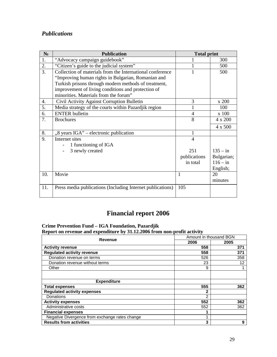## *Publications*

|                  | <b>Publication</b>                                         | <b>Total print</b> |                                 |
|------------------|------------------------------------------------------------|--------------------|---------------------------------|
| 1.               | "Advocacy campaign guidebook"                              |                    | 300                             |
| 2.               | "Citizen's guide to the judicial system"                   |                    | 500                             |
| $\overline{3}$ . | Collection of materials from the International conference  |                    | 500                             |
|                  | "Improving human rights in Bulgarian, Romanian and         |                    |                                 |
|                  | Turkish prisons through modern methods of treatment,       |                    |                                 |
|                  | improvement of living conditions and protection of         |                    |                                 |
|                  | minorities. Materials from the forum"                      |                    |                                 |
| 4.               | Civil Activity Against Corruption Bulletin                 | 3                  | 200                             |
| 5.               | Media strategy of the courts within Pazardjik region       |                    | 100                             |
| 6.               | <b>ENTER</b> bulletin                                      | 4                  | 100                             |
| 7.               | <b>Brochures</b>                                           | 8                  | 200<br>$\overline{\mathcal{A}}$ |
|                  |                                                            |                    | 500<br>4                        |
| 8.               | "8 years IGA" – electronic publication                     | 1                  |                                 |
| 9.               | Internet sites                                             | 4                  |                                 |
|                  | 1 functioning of IGA                                       |                    |                                 |
|                  | 3 newly created                                            | 251                | $135 - in$                      |
|                  |                                                            | publications       | Bulgarian;                      |
|                  |                                                            | in total           | $116 - in$                      |
|                  |                                                            |                    | English;                        |
| 10.              | Movie                                                      | 1                  | 20                              |
|                  |                                                            |                    | minutes                         |
| 11.              | Press media publications (Including Internet publications) | 105                |                                 |

## **Financial report 2006**

**Crime Prevention Fund – IGA Foundation, Pazardjik Report on revenue and expenditure by 31.12.2006 from non-profit activity**

| Revenue                                        |      | Amount in thousand BGN |  |
|------------------------------------------------|------|------------------------|--|
|                                                | 2006 | 2005                   |  |
| <b>Activity revenue</b>                        | 558  | 371                    |  |
| <b>Regulated activity revenue</b>              | 558  | 371                    |  |
| Donation revenue on terms                      | 526  | 358                    |  |
| Donation revenue without terms                 | 23   | 12                     |  |
| Other                                          | 9    |                        |  |
|                                                |      |                        |  |
| <b>Expenditure</b>                             |      |                        |  |
| <b>Total expenses</b>                          | 555  | 362                    |  |
| <b>Regulated activity expenses</b>             | 2    |                        |  |
| Donations                                      | 2    |                        |  |
| <b>Activity expenses</b>                       | 552  | 362                    |  |
| Administrative costs                           | 552  | 362                    |  |
| <b>Financial expenses</b>                      | 1    |                        |  |
| Negative Divergence from exchange rates change |      |                        |  |
| <b>Results from activities</b>                 | 3    | 9                      |  |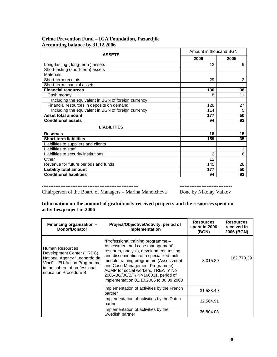#### **Crime Prevention Fund – IGA Foundation, Pazardjik Accounting balance by 31.12.2006**

| <b>ASSETS</b>                                       | Amount in thousand BGN |      |
|-----------------------------------------------------|------------------------|------|
|                                                     | 2006                   | 2005 |
| Long-lasting (long-term) assets                     | 12                     | 9    |
| Short-lasting (short-term) assets                   |                        |      |
| <b>Materials</b>                                    |                        |      |
| Short-term receipts                                 | 29                     | 3    |
| Short-term financial assets                         |                        |      |
| <b>Financial resources</b>                          | 136                    | 38   |
| Cash money                                          | 8                      | 11   |
| Including the equivalent in BGN of foreign currency |                        |      |
| Financial resources in deposits on demand           | 128                    | 27   |
| Including the equivalent in BGN of foreign currency | 114                    | 5    |
| <b>Asset total amount</b>                           | 177                    | 50   |
| <b>Conditional assets</b>                           | 94                     | 92   |
| <b>LIABILITIES</b>                                  |                        |      |
| <b>Reserves</b>                                     | 18                     | 15   |
| <b>Short-term liabilities</b>                       | 159                    | 35   |
| Liabilities to suppliers and clients                |                        |      |
| Liabilities to staff                                |                        | 1    |
| Liabilities to security institutions                | $\overline{2}$         | 6    |
| Other                                               | 12                     |      |
| Revenue for future periods and funds                | 145                    | 28   |
| <b>Liability total amount</b>                       | 177                    | 50   |
| <b>Conditional liabilities</b>                      | 94                     | 92   |

--------------------------------------------------------- -------------------------------

Chairperson of the Board of Managers – Marina Manolcheva Done by Nikolay Valkov

#### **Information on the amount of gratuitously received property and the resources spent on activities/project in 2006**

| Financing organization -<br>Donor/Donator                                                                                                                               | Project/Objective/Activity, period of<br>implementation                                                                                                                                                                                                                                                                                                             | <b>Resources</b><br>spent in 2006<br>(BGN) | <b>Resources</b><br>received in<br>2006 (BGN) |
|-------------------------------------------------------------------------------------------------------------------------------------------------------------------------|---------------------------------------------------------------------------------------------------------------------------------------------------------------------------------------------------------------------------------------------------------------------------------------------------------------------------------------------------------------------|--------------------------------------------|-----------------------------------------------|
| Human Resources<br>Development Center (HRDC),<br>National Agency "Leonardo da<br>Vinci" - EU Action Programme<br>in the sphere of professional<br>education Procedure B | "Professional training programme -<br>Assessment and case management" -<br>research, analysis, development, testing<br>and dissemination of a specialized multi-<br>module training programme (Assessment<br>and Case Management Programme)<br>ACMP for social workers, TREATY No<br>2006-BG/06/B/F/PP-166031, period of<br>implementation 01.10.2006 to 30.09.2008 | 3,015.89                                   | 162,770.39                                    |
|                                                                                                                                                                         | Implementation of activities by the French<br>partner                                                                                                                                                                                                                                                                                                               | 31,588.49                                  |                                               |
|                                                                                                                                                                         | Implementation of activities by the Dutch<br>partner                                                                                                                                                                                                                                                                                                                | 32,584.91                                  |                                               |
|                                                                                                                                                                         | Implementation of activities by the<br>Swedish partner                                                                                                                                                                                                                                                                                                              | 36,804.03                                  |                                               |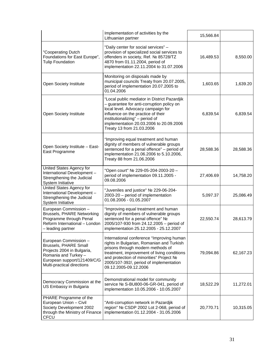|                                                                                                                                                                          | Implementation of activities by the<br>Lithuanian partner                                                                                                                                                                                                                               | 15,566.84 |           |
|--------------------------------------------------------------------------------------------------------------------------------------------------------------------------|-----------------------------------------------------------------------------------------------------------------------------------------------------------------------------------------------------------------------------------------------------------------------------------------|-----------|-----------|
| "Cooperating Dutch<br>Foundations for East Europe",<br><b>Tulip Foundation</b>                                                                                           | "Daily center for social services" -<br>provision of specialized social services to<br>offenders in society, Ref.<br>85728/TZ<br>4870 from 01.11.2004, period of<br>implementation 22.11.2004 to 31.07.2006                                                                             | 16,489.53 | 8,550.00  |
| Open Society Institute                                                                                                                                                   | Monitoring on disposals made by<br>municipal councils Treaty from 20.07.2005,<br>period of implementation 20.07.2005 to<br>01.04.2006                                                                                                                                                   | 1,603.65  | 1,639.20  |
| Open Society Institute                                                                                                                                                   | "Local public mediator in District Pazardjik<br>- guarantee for anti-corruption policy on<br>local level. Advocacy campaign for<br>influence on the practice of their<br>institutionalizing" - period of<br>implementation 20.03.2006 to 20.09.2006<br>Treaty 13 from 21.03.2006        | 6,839.54  | 6,839.54  |
| Open Society Institute - East-<br>East Programme                                                                                                                         | "Improving equal treatment and human<br>dignity of members of vulnerable groups<br>sentenced for a penal offence" - period of<br>implementation 21.06.2006 to 5.10.2006,<br>Treaty 88 from 21.06.2006                                                                                   | 28,588.36 | 28,588.36 |
| United States Agency for<br>International Development -<br>Strengthening the Judicial<br>System Initiative                                                               | "Open court"<br>229-05-204-2003-20-<br>period of implementation 09.11.2005 -<br>09.08.2006                                                                                                                                                                                              | 27,406.69 | 14,758.20 |
| United States Agency for<br>International Development -<br>Strengthening the Judicial<br>System Initiative                                                               | "Juveniles and justice"<br>229-06-204-<br>2003-20 - period of implementation<br>01.08.2006 - 01.05.2007                                                                                                                                                                                 | 5,097.37  | 25,086.49 |
| European Commission -<br><b>Brussels, PHARE Networking</b><br>Programme through Penal<br>Reform International - London<br>- leading partner                              | "Improving equal treatment and human<br>dignity of members of vulnerable groups<br>sentenced for a penal offence"<br>2005/107-930 from 24.12.2005 - period of<br>implementation 25.12.2005 - 25.12.2007                                                                                 | 22,550.74 | 28,613.79 |
| European Commission -<br><b>Brussels, PHARE Small</b><br>Projects 2004 in Bulgaria,<br>Romania and Turkey -<br>European support/121409/ /G<br>Multi-practical directions | International conference "Improving human<br>rights in Bulgarian, Romanian and Turkish<br>prisons through modern methods of<br>treatment, improvement of living conditions<br>and protection of minorities" Project<br>2005/107-392/, period of implementation<br>09.12.2005-09.12.2006 | 79,094.86 | 62,167.23 |
| Democracy Commission at the<br>US Embassy in Bulgaria                                                                                                                    | Demonstrational model for community<br>S-BU800-06-GR-041, period of<br>service<br>implementation 10.05.2006 - 10.05.2007                                                                                                                                                                | 18,522.29 | 11,272.01 |
| PHARE Programme of the<br>European Union - Civil<br>Society Development 2002<br>through the Ministry of Finance<br><b>CFCU</b>                                           | "Anti-corruption network in Pazardjik<br>CSDP 2002 Lot 2-068, period of<br>region"<br>implementation 01.12.2004 - 31.05.2006                                                                                                                                                            | 20,770.71 | 10,315.05 |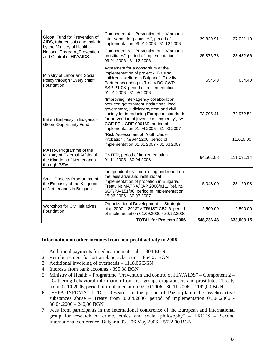|                                                                                                        | <b>TOTAL for Projects 2006</b>                                                                                                                                                                                                                                                                 | 548,736.48 | 633,003.15 |
|--------------------------------------------------------------------------------------------------------|------------------------------------------------------------------------------------------------------------------------------------------------------------------------------------------------------------------------------------------------------------------------------------------------|------------|------------|
| <b>Workshop for Civil Initiatives</b><br>Foundation                                                    | Organizational Development - "Strategic<br>plan 2007 - 2013" # TRUST CB2-6, period<br>of implementation 01.09.2006 - 20.12.2006                                                                                                                                                                | 2,500.00   | 2,500.00   |
| Small Projects Programme of<br>the Embassy of the Kingdom<br>of Netherlands in Bulgaria                | Independent civil monitoring and report on<br>the legislative and institutional<br>implementation of probation in Bulgaria,<br>MATRA/KAP 2006/011, Ref.<br>Treaty<br>SOF/PA-151/06, period of implementation<br>15.06.2006 - 30.07.2007                                                        | 5,048.00   | 23,120.98  |
| MATRA Programme of the<br>Ministry of External Affairs of<br>the Kingdom of Netherlands<br>through PSW | ENTER, period of implementation<br>01.11.2005 - 30.04.2008                                                                                                                                                                                                                                     | 64,501.08  | 111,091.14 |
|                                                                                                        | "Risk Assessment of Youth Under<br>AP 2206, period of<br>Probation",<br>implementation 01.01.2007 - 31.03.2007                                                                                                                                                                                 |            | 11,610.00  |
| British Embassy in Bulgaria -<br><b>Global Opportunity Fund</b>                                        | "Improving inter-agency collaboration<br>between government institutions, local<br>government, judiciary system and civil<br>society for introducing European standards<br>for prevention of juvenile delinquency",<br>GOF PEU GRE 000169, period of<br>implementation 01.04.2005 - 31.03.2007 | 73,795.41  | 72,972.51  |
| Ministry of Labor and Social<br>Policy through "Every child"<br>Foundation                             | Agreement for a consortium at the<br>implementation of project - "Raising<br>children's welfare in Bulgaria", Plovdiv.<br>Partner according to Treaty BG-CWR-<br>SSP-P1-03, period of implementation<br>01.01.2006 - 31.05.2006                                                                | 654.40     | 654.40     |
| National Program "Prevention<br>and Control of HIV/AIDS                                                | Component 6 - "Prevention of HIV among<br>prostitutes", period of implementation<br>09.01.2006 - 31.12.2006                                                                                                                                                                                    | 25,873.78  | 23,432.66  |
| Global Fund for Prevention of<br>AIDS, tuberculosis and malaria<br>by the Ministry of Health -         | Component 4 - "Prevention of HIV among<br>intra-venal drug abusers", period of<br>implementation 09.01.2006 - 31.12.2006                                                                                                                                                                       | 29,839.91  | 27,021.19  |

#### **Information on other incomes from non-profit activity in 2006**

- 1. Additional payments for education materials 804 BGN
- 2. Reimbursement for lost airplane ticket sum 864.07 BGN
- 3. Additional invoicing of overheads 1118.06 BGN
- 4. Interests from bank accounts 395.38 BGN
- 5. Ministry of Health Programme "Prevention and control of HIV/AIDS" Component 2 "Gathering behavioral information from risk groups drug abusers and prostitutes" Treaty from 02.10.2006, period of implementation 02.10.2006 - 30.11.2006 – 1192,00 BGN
- 6. "SEPA INFOMA" LTD Research in the prison of Pazardjik on the psycho-active substances abuse – Treaty from 05.04.2006, period of implementation 05.04.2006 - 30.04.2006 – 240,00 BGN
- 7. Fees from participants in the International conference of the European and international group for research of crime, ethics and social philosophy" – ERCES – Second International conference, Bulgaria 03 – 06 May 2006 – 5622,00 BGN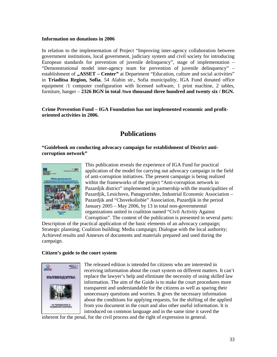#### **Information on donations in 2006**

In relation to the implementation of Project "Improving inter-agency collaboration between government institutions, local government, judiciary system and civil society for introducing European standards for prevention of juvenile delinquency", stage of implementation – "Demonstrational model inter-agency team for prevention of juvenile delinquency" – establishment of **"ASSET – Center"** at Department "Education, culture and social activities" in **Triaditsa Region, Sofia**, 54 Alabin str., Sofia municipality, IGA Fund donated office equipment /1 computer configuration with licensed software, 1 print machine, 2 tables, furniture, hanger – **2326 BGN in total /two thousand three hundred and twenty six / BGN.**

**Crime Prevention Fund – IGA Foundation has not implemented economic and profitoriented activities in 2006.**

## **Publications**

**"Guidebook on conducting advocacy campaign for establishment of District anticorruption network"**



This publication reveals the experience of IGA Fund for practical application of the model for carrying out advocacy campaign in the field of anti-corruption initiatives. The present campaign is being realized within the frameworks of the project "Anti-corruption network in Pazardjik district" implemented in partnership with the municipalities of Pazardjik, Lesichovo, Panagyurishte, Industrial Economic Association – Pazardjik and "Chovekoliubie" Association, Pazardjik in the period January 2005 – May 2006, by 13 in total non-governmental organizations united in coalition named "Civil Activity Against Corruption". The content of the publication is presented in several parts:

Description of the practical application of the basic elements of an advocacy campaign; Strategic planning; Coalition building; Media campaign; Dialogue with the local authority; Achieved results and Annexes of documents and materials prepared and used during the campaign.

#### **Citizen's guide to the court system**



The released edition is intended for citizens who are interested in receiving information about the court system on different matters. It can't replace the lawyer's help and eliminate the necessity of using skilled law information. The aim of the Guide is to make the court procedures more transparent and understandable for the citizens as well as sparing their unnecessary questions and worries. It gives the necessary information about the conditions for applying requests, for the shifting of the applied from you document in the court and also other useful information. It is introduced on common language and in the same time it saved the

inherent for the penal, for the civil process and the right of expression in general.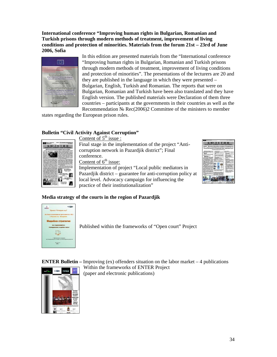**International conference "Improving human rights in Bulgarian, Romanian and Turkish prisons through modern methods of treatment, improvement of living conditions and protection of minorities. Materials from the forum 21st – 23rd of June 2006, Sofia**



In this edition are presented materials from the "International conference "Improving human rights in Bulgarian, Romanian and Turkish prisons through modern methods of treatment, improvement of living conditions and protection of minorities". The presentations of the lecturers are 20 and they are published in the language in which they were presented – Bulgarian, English, Turkish and Romanian. The reports that were on Bulgarian, Romanian and Turkish have been also translated and they have English version. The published materials were Declaration of them three countries – participants at the governments in their countries as well as the Recommendation Rec(2006)2 Committee of the ministers to member

states regarding the European prison rules.

#### **Bulletin "Civil Activity Against Corruption"**



Content of  $5<sup>th</sup>$  issue : Final stage in the implementation of the project "Anticorruption network in Pazardjik district"; Final conference. Content of  $6<sup>th</sup>$  issue: Implementation of project "Local public mediators in



Pazardjik district – guarantee for anti-corruption policy at local level. Advocacy campaign for influencing the practice of their institutionalization"

#### **Media strategy of the courts in the region of Pazardjik**



Published within the frameworks of "Open court" Project



**ENTER Bulletin** – Improving (ex) offenders situation on the labor market  $-4$  publications Within the frameworks of ENTER Project (paper and electronic publications)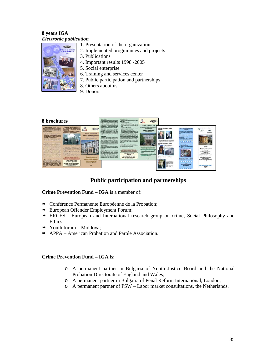#### **8 years IGA** *Electronic publication*

**CERA** 

- 1. Presentation of the organization
- 2. Implemented programmes and projects
- 3. Publications
- 4. Important results 1998 -2005
- 5. Social enterprise
- 6. Training and services center
- 7. Public participation and partnerships
- 8. Others about us
- 9. Donors



## **Public participation and partnerships**

#### **Crime Prevention Fund – IGA** is a member of:

- Conférence Permanente Européenne de la Probation;
- European Offender Employment Forum;
- ERCES European and International research group on crime, Social Philosophy and Ethics;
- $\rightarrow$  Youth forum Moldova;
- $\rightarrow$  APPA American Probation and Parole Association.

#### **Crime Prevention Fund – IGA** is:

- o A permanent partner in Bulgaria of Youth Justice Board and the National Probation Directorate of England and Wales;
- o A permanent partner in Bulgaria of Penal Reform International, London;
- o A permanent partner of PSW Labor market consultations, the Netherlands.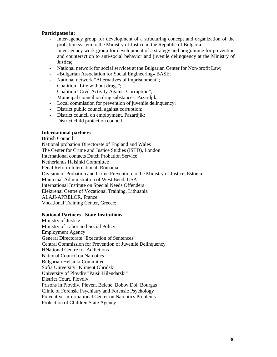#### **Participates in:**

- Inter-agency group for development of a structuring concept and organization of the probation system to the Ministry of Justice in the Republic of Bulgaria;
- Inter-agency work group for development of a strategy and programme for prevention and counteraction to anti-social behavior and juvenile delinquency at the Ministry of Justice;
- National network for social services at the Bulgarian Center for Non-profit Law;
- «Bulgarian Association for Social Engineering» BASE;
- National network "Alternatives of imprisonment";
- Coalition "Life without drugs";
- Coalition "Civil Activity Against Corruption";
- Municipal council on drug substances, Pazardjik;
- Local commission for prevention of juvenile delinquency;
- District public council against corruption;
- District council on employment, Pazardjik;
- District child protection council.

#### **International partners**

British Council National probation Directorate of England and Wales The Center for Crime and Justice Studies (ISTD), London International contacts Dutch Probation Service Netherlands Helsinki Committee Penal Reform International, Romania Division of Probation and Crime Prevention to the Ministry of Justice, Estonia Municipal Administration of West Bend, USA International Institute on Special Needs Offenders Elektrenai Centre of Vocational Training, Lithuania ALAJI-APRELOR, France Vocational Training Center, Greece;

#### **National Partners - State Institutions**

Ministry of Justice Ministry of Labor and Social Policy Employment Agency General Directorate "Execution of Sentences" Central Commission for Prevention of Juvenile Delinquency National Centre for Addictions National Council on Narcotics Bulgarian Helsinki Committee Sofia University "Kliment Ohridski" University of Plovdiv "Paisii Hilendarski" District Court, Plovdiv Prisons in Plovdiv, Pleven, Belene, Bobov Dol, Bourgas Clinic of Forensic Psychiatry and Forensic Psychology Preventive-informational Center on Narcotics Problems Protection of Children State Agency